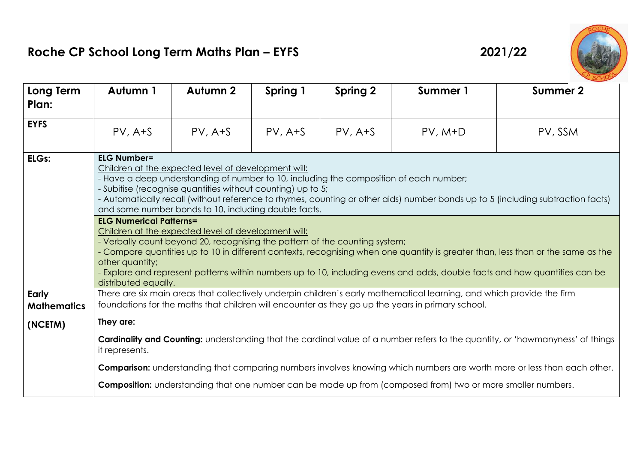## **Roche CP School Long Term Maths Plan – EYFS 2021/22**





| Long Term<br>Plan:          | Autumn 1                                                                                                                                                                                                                                                                                                                                                                                                                                                                                                                                                                                                                                                                                                                                                                                                                                                                                   | Autumn 2  | Spring 1  | <b>Spring 2</b> | Summer 1                                                                                                    | Summer 2                                                                                                                |
|-----------------------------|--------------------------------------------------------------------------------------------------------------------------------------------------------------------------------------------------------------------------------------------------------------------------------------------------------------------------------------------------------------------------------------------------------------------------------------------------------------------------------------------------------------------------------------------------------------------------------------------------------------------------------------------------------------------------------------------------------------------------------------------------------------------------------------------------------------------------------------------------------------------------------------------|-----------|-----------|-----------------|-------------------------------------------------------------------------------------------------------------|-------------------------------------------------------------------------------------------------------------------------|
| <b>EYFS</b>                 | $PV, A+S$                                                                                                                                                                                                                                                                                                                                                                                                                                                                                                                                                                                                                                                                                                                                                                                                                                                                                  | $PV, A+S$ | $PV, A+S$ | $PV, A+S$       | $PV, M+D$                                                                                                   | PV, SSM                                                                                                                 |
| ELGs:                       | <b>ELG Number=</b><br>Children at the expected level of development will:<br>- Have a deep understanding of number to 10, including the composition of each number;<br>- Subitise (recognise quantities without counting) up to 5;<br>- Automatically recall (without reference to rhymes, counting or other aids) number bonds up to 5 (including subtraction facts)<br>and some number bonds to 10, including double facts.<br><b>ELG Numerical Patterns=</b><br>Children at the expected level of development will:<br>- Verbally count beyond 20, recognising the pattern of the counting system;<br>- Compare quantities up to 10 in different contexts, recognising when one quantity is greater than, less than or the same as the<br>other quantity;<br>- Explore and represent patterns within numbers up to 10, including evens and odds, double facts and how quantities can be |           |           |                 |                                                                                                             |                                                                                                                         |
| Early<br><b>Mathematics</b> | distributed equally.<br>There are six main areas that collectively underpin children's early mathematical learning, and which provide the firm<br>foundations for the maths that children will encounter as they go up the years in primary school.                                                                                                                                                                                                                                                                                                                                                                                                                                                                                                                                                                                                                                        |           |           |                 |                                                                                                             |                                                                                                                         |
| (NCETM)                     | They are:                                                                                                                                                                                                                                                                                                                                                                                                                                                                                                                                                                                                                                                                                                                                                                                                                                                                                  |           |           |                 |                                                                                                             |                                                                                                                         |
|                             | Cardinality and Counting: understanding that the cardinal value of a number refers to the quantity, or 'howmanyness' of things<br>it represents.                                                                                                                                                                                                                                                                                                                                                                                                                                                                                                                                                                                                                                                                                                                                           |           |           |                 |                                                                                                             |                                                                                                                         |
|                             |                                                                                                                                                                                                                                                                                                                                                                                                                                                                                                                                                                                                                                                                                                                                                                                                                                                                                            |           |           |                 |                                                                                                             | Comparison: understanding that comparing numbers involves knowing which numbers are worth more or less than each other. |
|                             |                                                                                                                                                                                                                                                                                                                                                                                                                                                                                                                                                                                                                                                                                                                                                                                                                                                                                            |           |           |                 | Composition: understanding that one number can be made up from (composed from) two or more smaller numbers. |                                                                                                                         |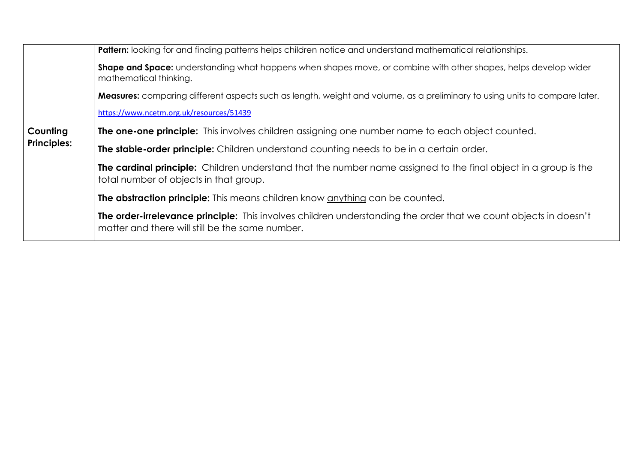|                    | <b>Pattern:</b> looking for and finding patterns helps children notice and understand mathematical relationships.                                                   |  |  |  |  |  |
|--------------------|---------------------------------------------------------------------------------------------------------------------------------------------------------------------|--|--|--|--|--|
|                    | <b>Shape and Space:</b> understanding what happens when shapes move, or combine with other shapes, helps develop wider<br>mathematical thinking.                    |  |  |  |  |  |
|                    | <b>Measures:</b> comparing different aspects such as length, weight and volume, as a preliminary to using units to compare later.                                   |  |  |  |  |  |
|                    | https://www.ncetm.org.uk/resources/51439                                                                                                                            |  |  |  |  |  |
| Counting           | <b>The one-one principle:</b> This involves children assigning one number name to each object counted.                                                              |  |  |  |  |  |
| <b>Principles:</b> | The stable-order principle: Children understand counting needs to be in a certain order.                                                                            |  |  |  |  |  |
|                    | The cardinal principle: Children understand that the number name assigned to the final object in a group is the<br>total number of objects in that group.           |  |  |  |  |  |
|                    | The abstraction principle: This means children know anything can be counted.                                                                                        |  |  |  |  |  |
|                    | The order-irrelevance principle: This involves children understanding the order that we count objects in doesn't<br>matter and there will still be the same number. |  |  |  |  |  |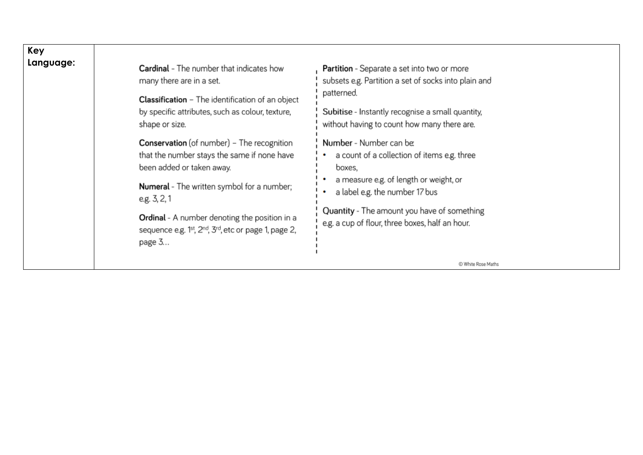| Key       |                                                                                                                                                                                                              |                                                                                                                                                                                                                             |
|-----------|--------------------------------------------------------------------------------------------------------------------------------------------------------------------------------------------------------------|-----------------------------------------------------------------------------------------------------------------------------------------------------------------------------------------------------------------------------|
| Language: | <b>Cardinal</b> - The number that indicates how<br>many there are in a set.<br><b>Classification</b> - The identification of an object<br>by specific attributes, such as colour, texture,<br>shape or size. | <b>Partition</b> - Separate a set into two or more<br>subsets e.g. Partition a set of socks into plain and<br>patterned.<br>Subitise - Instantly recognise a small quantity,<br>without having to count how many there are. |
|           | <b>Conservation</b> (of number) - The recognition<br>that the number stays the same if none have<br>been added or taken away.                                                                                | Number - Number can be:<br>a count of a collection of items e.g. three<br>boxes,                                                                                                                                            |
|           | <b>Numeral</b> - The written symbol for a number;<br>e.g. 3, 2, 1                                                                                                                                            | a measure e.g. of length or weight, or<br>a label e.g. the number 17 bus                                                                                                                                                    |
|           | Ordinal - A number denoting the position in a<br>sequence e.g. 1 <sup>st</sup> , 2 <sup>nd</sup> , 3 <sup>rd</sup> , etc or page 1, page 2,<br>page 3                                                        | Quantity - The amount you have of something<br>e.g. a cup of flour, three boxes, half an hour.                                                                                                                              |
|           |                                                                                                                                                                                                              | C White Rose Maths                                                                                                                                                                                                          |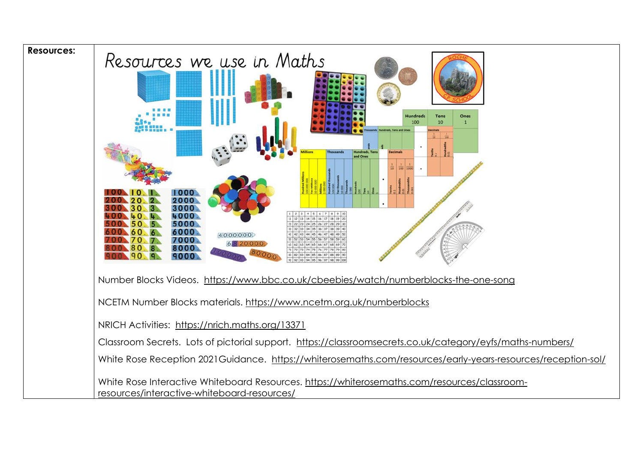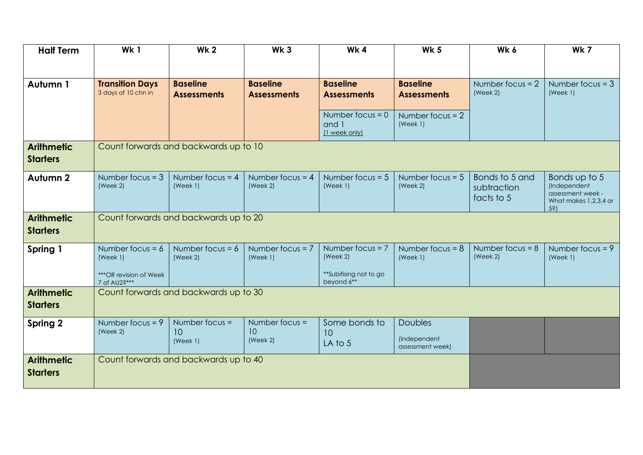| <b>Half Term</b>                     | Wk1                                           | <b>Wk2</b>                            | Wk <sub>3</sub>                       | Wk4                                          | <b>Wk 5</b>                                        | Wk 6                                        | Wk 7                                                                                      |
|--------------------------------------|-----------------------------------------------|---------------------------------------|---------------------------------------|----------------------------------------------|----------------------------------------------------|---------------------------------------------|-------------------------------------------------------------------------------------------|
|                                      |                                               |                                       |                                       |                                              |                                                    |                                             |                                                                                           |
| Autumn 1                             | <b>Transition Days</b><br>3 days of 10 chn in | <b>Baseline</b><br><b>Assessments</b> | <b>Baseline</b><br><b>Assessments</b> | <b>Baseline</b><br><b>Assessments</b>        | <b>Baseline</b><br><b>Assessments</b>              | Number focus $= 2$<br>(Week 2)              | Number focus $=$ 3<br>(Week 1)                                                            |
|                                      |                                               |                                       |                                       | Number focus = $0$<br>and 1<br>(1 week only) | Number focus = $2$<br>(Week 1)                     |                                             |                                                                                           |
| <b>Arithmetic</b><br><b>Starters</b> | Count forwards and backwards up to 10         |                                       |                                       |                                              |                                                    |                                             |                                                                                           |
| Autumn 2                             | Number focus = $3$<br>(Week 2)                | Number focus = $4$<br>(Week 1)        | Number focus = $4$<br>(Week 2)        | Number focus = $5$<br>(Week 1)               | Number focus = $5$<br>(Week 2)                     | Bonds to 5 and<br>subtraction<br>facts to 5 | Bonds up to 5<br>(Independent<br>assessment week -<br>What makes 1,2,3,4 or<br>$5\hat{s}$ |
| <b>Arithmetic</b><br><b>Starters</b> | Count forwards and backwards up to 20         |                                       |                                       |                                              |                                                    |                                             |                                                                                           |
| Spring 1                             | Number focus = $6$<br>(Week 1)                | Number focus = $6$<br>(Week 2)        | Number focus = $7$<br>(Week 1)        | Number focus $= 7$<br>(Week 2)               | Number focus = $8$<br>(Week 1)                     | Number focus = $8$<br>(Week 2)              | Number focus = $9$<br>(Week 1)                                                            |
|                                      | ***OR revision of Week<br>7 of AU2?***        |                                       |                                       | **Subitising not to go<br>beyond 6**         |                                                    |                                             |                                                                                           |
| <b>Arithmetic</b><br><b>Starters</b> | Count forwards and backwards up to 30         |                                       |                                       |                                              |                                                    |                                             |                                                                                           |
| Spring 2                             | Number focus = $9$<br>(Week 2)                | Number focus $=$<br>10<br>(Week 1)    | Number focus =<br>10<br>(Week 2)      | Some bonds to<br>10<br>LA to 5               | <b>Doubles</b><br>(Independent<br>assessment week) |                                             |                                                                                           |
| <b>Arithmetic</b><br><b>Starters</b> |                                               | Count forwards and backwards up to 40 |                                       |                                              |                                                    |                                             |                                                                                           |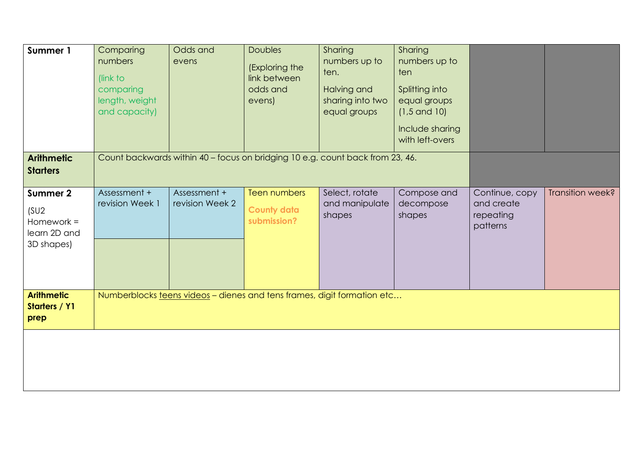| Summer 1<br><b>Arithmetic</b>                                                      | Comparing<br>numbers<br>(link to<br>comparing<br>length, weight<br>and capacity) | Odds and<br>evens<br>Count backwards within 40 - focus on bridging 10 e.g. count back from 23, 46. | <b>Doubles</b><br>(Exploring the<br>link between<br>odds and<br>evens) | Sharing<br>numbers up to<br>ten.<br>Halving and<br>sharing into two<br>equal groups | Sharing<br>numbers up to<br>ten<br>Splitting into<br>equal groups<br>$(1, 5 \text{ and } 10)$<br>Include sharing<br>with left-overs |                                                       |                  |
|------------------------------------------------------------------------------------|----------------------------------------------------------------------------------|----------------------------------------------------------------------------------------------------|------------------------------------------------------------------------|-------------------------------------------------------------------------------------|-------------------------------------------------------------------------------------------------------------------------------------|-------------------------------------------------------|------------------|
| <b>Starters</b><br>Summer 2<br>(SU2)<br>Homework $=$<br>learn 2D and<br>3D shapes) | Assessment +<br>revision Week 1                                                  | Assessment +<br>revision Week 2                                                                    | <b>Teen numbers</b><br><b>County data</b><br>submission?               | Select, rotate<br>and manipulate<br>shapes                                          | Compose and<br>decompose<br>shapes                                                                                                  | Continue, copy<br>and create<br>repeating<br>patterns | Transition week? |
| <b>Arithmetic</b><br>Starters / Y1<br>prep                                         | Numberblocks teens videos - dienes and tens frames, digit formation etc          |                                                                                                    |                                                                        |                                                                                     |                                                                                                                                     |                                                       |                  |
|                                                                                    |                                                                                  |                                                                                                    |                                                                        |                                                                                     |                                                                                                                                     |                                                       |                  |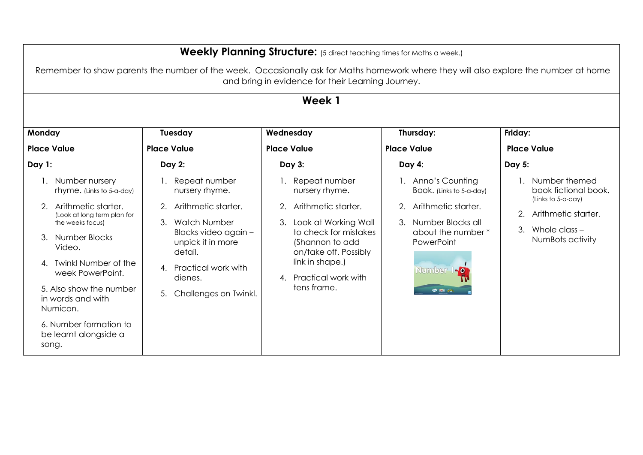|                                                                                                                                                                                                                                                                            | <b>Weekly Planning Structure:</b> (5 direct teaching times for Maths a week.)                                                                                                                               |                                                                                                                                                                                                                       |                                                                                                                                                                  |                                                                                                                                 |  |  |  |
|----------------------------------------------------------------------------------------------------------------------------------------------------------------------------------------------------------------------------------------------------------------------------|-------------------------------------------------------------------------------------------------------------------------------------------------------------------------------------------------------------|-----------------------------------------------------------------------------------------------------------------------------------------------------------------------------------------------------------------------|------------------------------------------------------------------------------------------------------------------------------------------------------------------|---------------------------------------------------------------------------------------------------------------------------------|--|--|--|
|                                                                                                                                                                                                                                                                            | Remember to show parents the number of the week. Occasionally ask for Maths homework where they will also explore the number at home<br>and bring in evidence for their Learning Journey.                   |                                                                                                                                                                                                                       |                                                                                                                                                                  |                                                                                                                                 |  |  |  |
|                                                                                                                                                                                                                                                                            |                                                                                                                                                                                                             | Week 1                                                                                                                                                                                                                |                                                                                                                                                                  |                                                                                                                                 |  |  |  |
| Monday                                                                                                                                                                                                                                                                     | Tuesday                                                                                                                                                                                                     | Wednesday                                                                                                                                                                                                             | Thursday:                                                                                                                                                        | Friday:                                                                                                                         |  |  |  |
| <b>Place Value</b>                                                                                                                                                                                                                                                         | <b>Place Value</b>                                                                                                                                                                                          | <b>Place Value</b>                                                                                                                                                                                                    | <b>Place Value</b>                                                                                                                                               | <b>Place Value</b>                                                                                                              |  |  |  |
| Day 1:                                                                                                                                                                                                                                                                     | <b>Day 2:</b>                                                                                                                                                                                               | Day 3:                                                                                                                                                                                                                | Day 4:                                                                                                                                                           | Day 5:                                                                                                                          |  |  |  |
| 1. Number nursery<br>rhyme. (Links to 5-a-day)<br>Arithmetic starter.<br>(Look at long term plan for<br>the weeks focus)<br>3. Number Blocks<br>Video.<br><b>Twinkl Number of the</b><br>4<br>week PowerPoint.<br>5. Also show the number<br>in words and with<br>Numicon. | Repeat number<br>nursery rhyme.<br>Arithmetic starter.<br>2.<br>3. Watch Number<br>Blocks video again -<br>unpick it in more<br>detail.<br>4. Practical work with<br>dienes.<br>Challenges on Twinkl.<br>5. | Repeat number<br>nursery rhyme.<br>2. Arithmetic starter.<br>3. Look at Working Wall<br>to check for mistakes<br>(Shannon to add<br>on/take off. Possibly<br>link in shape.)<br>4. Practical work with<br>tens frame. | 1. Anno's Counting<br>Book. (Links to 5-a-day)<br>Arithmetic starter.<br>2.<br>3. Number Blocks all<br>about the number *<br>PowerPoint<br>Number 1-0<br>O RE PL | Number themed<br>book fictional book.<br>(Links to 5-a-day)<br>Arithmetic starter.<br>Whole class $-$<br>3.<br>NumBots activity |  |  |  |
| 6. Number formation to<br>be learnt alongside a<br>song.                                                                                                                                                                                                                   |                                                                                                                                                                                                             |                                                                                                                                                                                                                       |                                                                                                                                                                  |                                                                                                                                 |  |  |  |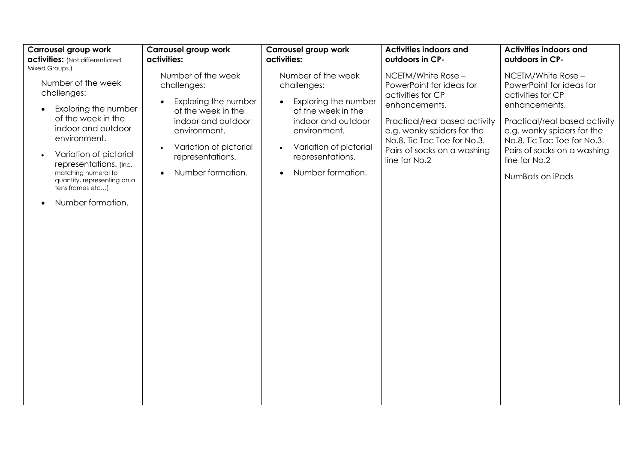| Carrousel group work                                                                                                                                                                                                                                                                                    | Carrousel group work                                                                                                                                                                                                            | <b>Carrousel group work</b>                                                                                                                                                                                        | <b>Activities indoors and</b>                                                                                                                                                                                                      | <b>Activities indoors and</b>                                                                                                                                                                                                                            |
|---------------------------------------------------------------------------------------------------------------------------------------------------------------------------------------------------------------------------------------------------------------------------------------------------------|---------------------------------------------------------------------------------------------------------------------------------------------------------------------------------------------------------------------------------|--------------------------------------------------------------------------------------------------------------------------------------------------------------------------------------------------------------------|------------------------------------------------------------------------------------------------------------------------------------------------------------------------------------------------------------------------------------|----------------------------------------------------------------------------------------------------------------------------------------------------------------------------------------------------------------------------------------------------------|
| activities: (Not differentiated.                                                                                                                                                                                                                                                                        | activities:                                                                                                                                                                                                                     | activities:                                                                                                                                                                                                        | outdoors in CP-                                                                                                                                                                                                                    | outdoors in CP-                                                                                                                                                                                                                                          |
| Mixed Groups.)<br>Number of the week<br>challenges:<br>Exploring the number<br>of the week in the<br>indoor and outdoor<br>environment.<br>Variation of pictorial<br>$\bullet$<br>representations. (Inc.<br>matching numeral to<br>quantity, representing on a<br>tens frames etc)<br>Number formation. | Number of the week<br>challenges:<br>Exploring the number<br>$\bullet$<br>of the week in the<br>indoor and outdoor<br>environment.<br>Variation of pictorial<br>$\bullet$<br>representations.<br>Number formation.<br>$\bullet$ | Number of the week<br>challenges:<br>Exploring the number<br>$\bullet$<br>of the week in the<br>indoor and outdoor<br>environment.<br>Variation of pictorial<br>representations.<br>Number formation.<br>$\bullet$ | NCETM/White Rose -<br>PowerPoint for ideas for<br>activities for CP<br>enhancements.<br>Practical/real based activity<br>e.g. wonky spiders for the<br>No.8. Tic Tac Toe for No.3.<br>Pairs of socks on a washing<br>line for No.2 | $NCETM/White Rose -$<br>PowerPoint for ideas for<br>activities for CP<br>enhancements.<br>Practical/real based activity<br>e.g. wonky spiders for the<br>No.8. Tic Tac Toe for No.3.<br>Pairs of socks on a washing<br>line for No.2<br>NumBots on iPads |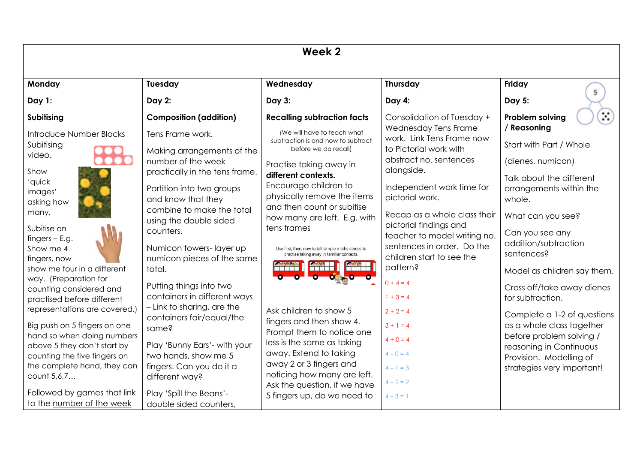| Week <sub>2</sub>                                         |                                                                                   |                                                                                                           |                                                         |                                                               |  |
|-----------------------------------------------------------|-----------------------------------------------------------------------------------|-----------------------------------------------------------------------------------------------------------|---------------------------------------------------------|---------------------------------------------------------------|--|
| Monday                                                    | Tuesday                                                                           | Wednesday                                                                                                 | <b>Thursday</b>                                         | Friday                                                        |  |
| Day 1:                                                    | <b>Day 2:</b>                                                                     | Day 3:                                                                                                    | Day 4:                                                  | 5<br>Day 5:                                                   |  |
| Subitising                                                | <b>Composition (addition)</b>                                                     | <b>Recalling subtraction facts</b>                                                                        | Consolidation of Tuesday +                              | $\mathbb{R}$<br><b>Problem solving</b>                        |  |
| Introduce Number Blocks                                   | Tens Frame work.                                                                  | (We will have to teach what                                                                               | Wednesday Tens Frame                                    | / Reasoning                                                   |  |
| Subitising                                                | Making arrangements of the                                                        | subtraction is and how to subtract<br>before we do recall)                                                | work. Link Tens Frame now<br>to Pictorial work with     | Start with Part / Whole                                       |  |
| video.<br>Show                                            | number of the week                                                                | Practise taking away in                                                                                   | abstract no. sentences<br>alongside.                    | (dienes, numicon)                                             |  |
| 'quick<br>images'<br>asking how                           | practically in the tens frame.<br>Partition into two groups<br>and know that they | different contexts.<br>Encourage children to<br>physically remove the items<br>and then count or subitise | Independent work time for<br>pictorial work.            | Talk about the different<br>arrangements within the<br>whole. |  |
| many.                                                     | combine to make the total<br>using the double sided                               | how many are left. E.g. with                                                                              | Recap as a whole class their<br>pictorial findings and  | What can you see?                                             |  |
| Subitise on<br>$f$ ingers – E.g.                          | counters.                                                                         | tens frames                                                                                               | teacher to model writing no.                            | Can you see any                                               |  |
| Show me 4                                                 | Numicon towers-layer up                                                           | Use first, then, now to tell simple maths stories to<br>practise taking away in familiar contexts.        | sentences in order. Do the<br>children start to see the | addition/subtraction<br>sentences?                            |  |
| fingers, now<br>show me four in a different               | numicon pieces of the same<br>total.                                              |                                                                                                           | pattern?                                                | Model as children say them.                                   |  |
| way. (Preparation for                                     | Putting things into two                                                           |                                                                                                           | $0 + 4 = 4$                                             | Cross off/take away dienes                                    |  |
| counting considered and<br>practised before different     | containers in different ways                                                      |                                                                                                           | $1 + 3 = 4$                                             | for subtraction.                                              |  |
| representations are covered.)                             | - Link to sharing, are the                                                        | Ask children to show 5                                                                                    | $2 + 2 = 4$                                             | Complete a 1-2 of questions                                   |  |
| Big push on 5 fingers on one                              | containers fair/equal/the<br>same?                                                | fingers and then show 4.<br>Prompt them to notice one                                                     | $3 + 1 = 4$                                             | as a whole class together                                     |  |
| hand so when doing numbers<br>above 5 they don't start by | Play 'Bunny Ears'- with your                                                      | less is the same as taking                                                                                | $4 + 0 = 4$                                             | before problem solving /                                      |  |
| counting the five fingers on                              | two hands, show me 5                                                              | away. Extend to taking                                                                                    | $4 - 0 = 4$                                             | reasoning in Continuous<br>Provision. Modelling of            |  |
| the complete hand, they can                               | fingers. Can you do it a                                                          | away 2 or 3 fingers and                                                                                   | $4 - 1 = 3$                                             | strategies very important!                                    |  |
| count 5,6,7                                               | different way?                                                                    | noticing how many are left.<br>Ask the question, if we have                                               | $4 - 2 = 2$                                             |                                                               |  |
| Followed by games that link                               | Play 'Spill the Beans'-                                                           | 5 fingers up, do we need to                                                                               | $4 - 3 = 1$                                             |                                                               |  |
| to the number of the week                                 | double sided counters,                                                            |                                                                                                           |                                                         |                                                               |  |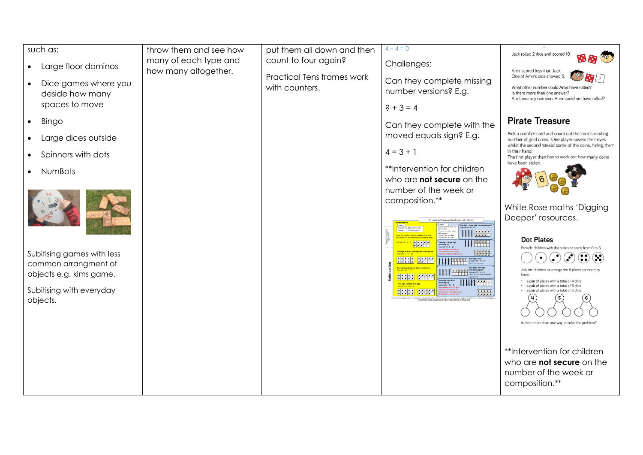|           | such as:                                           | throw them and see how<br>many of each type and | put them all down and then<br>count to four again? | $4 - 4 = 0$                                                                                                | Jack rolled 2 dice and scored 10                                                                                                                                      |
|-----------|----------------------------------------------------|-------------------------------------------------|----------------------------------------------------|------------------------------------------------------------------------------------------------------------|-----------------------------------------------------------------------------------------------------------------------------------------------------------------------|
| $\bullet$ | Large floor dominos                                | how many altogether.                            |                                                    | Challenges:                                                                                                | Amir scored less than Jack.                                                                                                                                           |
| $\bullet$ | Dice games where you                               |                                                 | <b>Practical Tens frames work</b>                  | Can they complete missing                                                                                  | One of Amir's dice showed 5.<br>$\mathbf{Q}(r)$                                                                                                                       |
|           | deside how many                                    |                                                 | with counters.                                     | number versions? E.g.                                                                                      | What other number could Amir have rolled?<br>Is there more than one answer?<br>Are there any numbers Amir could not have rolled?                                      |
|           | spaces to move                                     |                                                 |                                                    | $? + 3 = 4$                                                                                                |                                                                                                                                                                       |
| $\bullet$ | <b>Bingo</b>                                       |                                                 |                                                    | Can they complete with the                                                                                 | <b>Pirate Treasure</b>                                                                                                                                                |
|           | Large dices outside                                |                                                 |                                                    | moved equals sign? E.g.                                                                                    | Pick a number card and count out the corresponding<br>number of gold coins. One player covers their eyes<br>whilst the second 'steals' some of the coins, hiding them |
|           | Spinners with dots                                 |                                                 |                                                    | $4 = 3 + 1$                                                                                                | in their hand.<br>The first player then has to work out how many coins                                                                                                |
|           | NumBots                                            |                                                 |                                                    | **Intervention for children                                                                                | have been stolen.                                                                                                                                                     |
|           |                                                    |                                                 |                                                    | who are <b>not secure</b> on the                                                                           |                                                                                                                                                                       |
|           |                                                    |                                                 |                                                    | number of the week or<br>composition.**                                                                    |                                                                                                                                                                       |
|           |                                                    |                                                 |                                                    |                                                                                                            | White Rose maths 'Digging                                                                                                                                             |
|           |                                                    |                                                 |                                                    | Formal written methods for calculation<br>Two-digit - single digit (not breaking 10)                       | Deeper' resources.                                                                                                                                                    |
|           |                                                    |                                                 |                                                    | $111$ $337$                                                                                                | <b>Dot Plates</b>                                                                                                                                                     |
|           |                                                    |                                                 |                                                    | <b>IVAAT</b><br>-<br>Two-digit - single digit<br>Example 34 - 9 = 25<br>用来来                                | Provide children with dot plates or cards from 0 to 5                                                                                                                 |
|           | Subitising games with less<br>common arrangment of |                                                 |                                                    | <b>HE: He</b><br>$E^{\prime\prime\prime}$<br>Two-digit-tens<br>Cosmple 45 - 20 - 25<br>Cross out the tens. |                                                                                                                                                                       |
|           | objects e.g. kims game.                            |                                                 |                                                    | <b>WHEEE</b><br><b>HIDE EAAA</b>                                                                           | Ask the children to arrange the 6 plates so that they<br>have                                                                                                         |
|           | Subitising with everyday                           |                                                 |                                                    |                                                                                                            | • a pair of plates with a total of 4 dots<br>• a pair of plates with a total of 5 dots<br>a pair of plates with a total of 6 dots                                     |
|           | objects.                                           |                                                 |                                                    | <b>HHHH EFFET</b><br>思親                                                                                    |                                                                                                                                                                       |
|           |                                                    |                                                 |                                                    |                                                                                                            |                                                                                                                                                                       |
|           |                                                    |                                                 |                                                    |                                                                                                            | Is there more than one way to solve the problem?                                                                                                                      |
|           |                                                    |                                                 |                                                    |                                                                                                            |                                                                                                                                                                       |
|           |                                                    |                                                 |                                                    |                                                                                                            | **Intervention for children                                                                                                                                           |
|           |                                                    |                                                 |                                                    |                                                                                                            | who are <b>not secure</b> on the                                                                                                                                      |
|           |                                                    |                                                 |                                                    |                                                                                                            | number of the week or                                                                                                                                                 |
|           |                                                    |                                                 |                                                    |                                                                                                            | composition.**                                                                                                                                                        |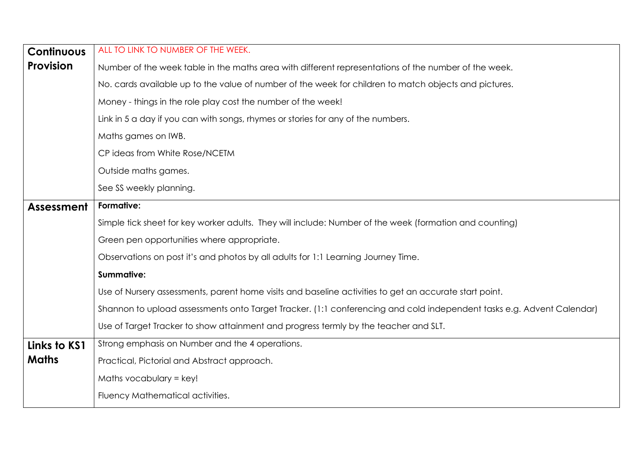| <b>Continuous</b> | ALL TO LINK TO NUMBER OF THE WEEK.                                                                                    |  |  |  |  |  |  |
|-------------------|-----------------------------------------------------------------------------------------------------------------------|--|--|--|--|--|--|
| <b>Provision</b>  | Number of the week table in the maths area with different representations of the number of the week.                  |  |  |  |  |  |  |
|                   | No. cards available up to the value of number of the week for children to match objects and pictures.                 |  |  |  |  |  |  |
|                   | Money - things in the role play cost the number of the week!                                                          |  |  |  |  |  |  |
|                   | Link in 5 a day if you can with songs, rhymes or stories for any of the numbers.                                      |  |  |  |  |  |  |
|                   | Maths games on IWB.                                                                                                   |  |  |  |  |  |  |
|                   | CP ideas from White Rose/NCETM                                                                                        |  |  |  |  |  |  |
|                   | Outside maths games.                                                                                                  |  |  |  |  |  |  |
|                   | See SS weekly planning.                                                                                               |  |  |  |  |  |  |
| <b>Assessment</b> | Formative:                                                                                                            |  |  |  |  |  |  |
|                   | Simple tick sheet for key worker adults. They will include: Number of the week (formation and counting)               |  |  |  |  |  |  |
|                   | Green pen opportunities where appropriate.                                                                            |  |  |  |  |  |  |
|                   | Observations on post it's and photos by all adults for 1:1 Learning Journey Time.                                     |  |  |  |  |  |  |
|                   | Summative:                                                                                                            |  |  |  |  |  |  |
|                   | Use of Nursery assessments, parent home visits and baseline activities to get an accurate start point.                |  |  |  |  |  |  |
|                   | Shannon to upload assessments onto Target Tracker. (1:1 conferencing and cold independent tasks e.g. Advent Calendar) |  |  |  |  |  |  |
|                   | Use of Target Tracker to show attainment and progress termly by the teacher and SLT.                                  |  |  |  |  |  |  |
| Links to KS1      | Strong emphasis on Number and the 4 operations.                                                                       |  |  |  |  |  |  |
| <b>Maths</b>      | Practical, Pictorial and Abstract approach.                                                                           |  |  |  |  |  |  |
|                   | Maths vocabulary = $key!$                                                                                             |  |  |  |  |  |  |
|                   | Fluency Mathematical activities.                                                                                      |  |  |  |  |  |  |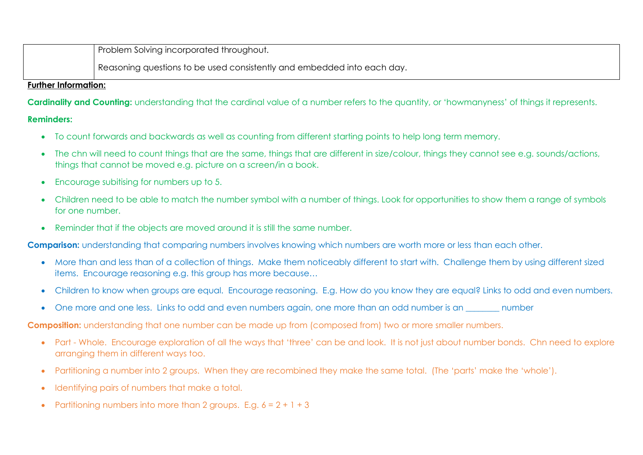Problem Solving incorporated throughout.

Reasoning questions to be used consistently and embedded into each day.

## **Further Information:**

**Cardinality and Counting:** understanding that the cardinal value of a number refers to the quantity, or 'howmanyness' of things it represents.

## **Reminders:**

- To count forwards and backwards as well as counting from different starting points to help long term memory.
- The chn will need to count things that are the same, things that are different in size/colour, things they cannot see e.g. sounds/actions, things that cannot be moved e.g. picture on a screen/in a book.
- Encourage subitising for numbers up to 5.
- Children need to be able to match the number symbol with a number of things. Look for opportunities to show them a range of symbols for one number.
- Reminder that if the objects are moved around it is still the same number.

**Comparison:** understanding that comparing numbers involves knowing which numbers are worth more or less than each other.

- More than and less than of a collection of things. Make them noticeably different to start with. Challenge them by using different sized items. Encourage reasoning e.g. this group has more because…
- Children to know when groups are equal. Encourage reasoning. E.g. How do you know they are equal? Links to odd and even numbers.
- One more and one less. Links to odd and even numbers again, one more than an odd number is an zom number

**Composition:** understanding that one number can be made up from (composed from) two or more smaller numbers.

- Part Whole. Encourage exploration of all the ways that 'three' can be and look. It is not just about number bonds. Chn need to explore arranging them in different ways too.
- Partitioning a number into 2 groups. When they are recombined they make the same total. (The 'parts' make the 'whole').
- Identifying pairs of numbers that make a total.
- Partitioning numbers into more than 2 groups. E.g.  $6 = 2 + 1 + 3$